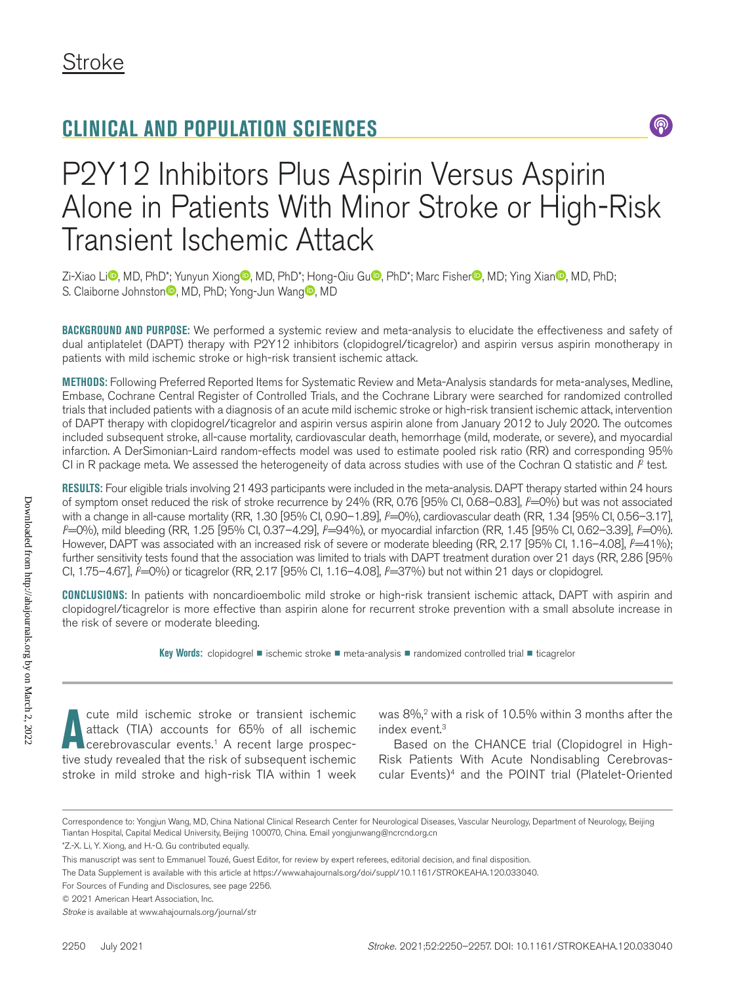## **CLINICAL AND POPULATION SCIENCES**

# P2Y12 Inhibitors Plus Aspirin Versus Aspirin Alone in Patients With Minor Stroke or High-Risk Transient Ischemic Attack

Zi-Xiao Li<sup>n</sup>, MD, PhD\*; Yunyun Xion[g](https://orcid.org/0000-0003-1353-2295) , MD, PhD\*; Hong-Qi[u](https://orcid.org/0000-0003-1608-1856) Gu [,](https://orcid.org/0000-0002-1237-1162) PhD\*; Marc Fisher , MD; Ying Xian , MD, PhD; S. Claibor[n](https://orcid.org/0000-0002-2912-0714)e Johnston<sup>®</sup>, MD, PhD; Yon[g](https://orcid.org/0000-0002-9976-2341)-Jun Wang<sup>®</sup>, MD

**BACKGROUND AND PURPOSE:** We performed a systemic review and meta-analysis to elucidate the effectiveness and safety of dual antiplatelet (DAPT) therapy with P2Y12 inhibitors (clopidogrel/ticagrelor) and aspirin versus aspirin monotherapy in patients with mild ischemic stroke or high-risk transient ischemic attack.

**METHODS:** Following Preferred Reported Items for Systematic Review and Meta-Analysis standards for meta-analyses, Medline, Embase, Cochrane Central Register of Controlled Trials, and the Cochrane Library were searched for randomized controlled trials that included patients with a diagnosis of an acute mild ischemic stroke or high-risk transient ischemic attack, intervention of DAPT therapy with clopidogrel/ticagrelor and aspirin versus aspirin alone from January 2012 to July 2020. The outcomes included subsequent stroke, all-cause mortality, cardiovascular death, hemorrhage (mild, moderate, or severe), and myocardial infarction. A DerSimonian-Laird random-effects model was used to estimate pooled risk ratio (RR) and corresponding 95% CI in R package meta. We assessed the heterogeneity of data across studies with use of the Cochran Q statistic and P test.

**RESULTS:** Four eligible trials involving 21493 participants were included in the meta-analysis. DAPT therapy started within 24 hours of symptom onset reduced the risk of stroke recurrence by 24% (RR, 0.76 [95% CI, 0.68–0.83], *F*=0%) but was not associated with a change in all-cause mortality (RR, 1.30 [95% CI, 0.90–1.89], *P=*0%), cardiovascular death (RR, 1.34 [95% CI, 0.56–3.17], *P*=0%), mild bleeding (RR, 1.25 [95% CI, 0.37–4.29], *P*=94%), or myocardial infarction (RR, 1.45 [95% CI, 0.62–3.39], *P*=0%). However, DAPT was associated with an increased risk of severe or moderate bleeding (RR, 2.17 [95% CI, 1.16–4.08],  $P=41\%$ ); further sensitivity tests found that the association was limited to trials with DAPT treatment duration over 21 days (RR, 2.86 [95% CI, 1.75–4.67], *P*=0%) or ticagrelor (RR, 2.17 [95% CI, 1.16–4.08], *P=*37%) but not within 21 days or clopidogrel.

**CONCLUSIONS:** In patients with noncardioembolic mild stroke or high-risk transient ischemic attack, DAPT with aspirin and clopidogrel/ticagrelor is more effective than aspirin alone for recurrent stroke prevention with a small absolute increase in the risk of severe or moderate bleeding.

**Key Words:** clopidogrel ◼ ischemic stroke ◼ meta-analysis ◼ randomized controlled trial ◼ ticagrelor

The mild ischemic stroke or transient ischemic attack (TIA) accounts for 65% of all ischemic cerebrovascular events.<sup>1</sup> A recent large prospective study revealed that the risk of subsequent ischemic cute mild ischemic stroke or transient ischemic attack (TIA) accounts for 65% of all ischemic cerebrovascular events.<sup>1</sup> A recent large prospecstroke in mild stroke and high-risk TIA within 1 week

was 8%,<sup>2</sup> with a risk of 10.5% within 3 months after the index event.3

 $\circledS$ 

Based on the CHANCE trial (Clopidogrel in High-Risk Patients With Acute Nondisabling Cerebrovascular Events)<sup>4</sup> and the POINT trial (Platelet-Oriented

Correspondence to: Yongjun Wang, MD, China National Clinical Research Center for Neurological Diseases, Vascular Neurology, Department of Neurology, Beijing Tiantan Hospital, Capital Medical University, Beijing 100070, China. Email [yongjunwang@ncrcnd.org.cn](mailto:yongjunwang@ncrcnd.org.cn)

<sup>\*</sup>Z.-X. Li, Y. Xiong, and H.-Q. Gu contributed equally.

This manuscript was sent to Emmanuel Touzé, Guest Editor, for review by expert referees, editorial decision, and final disposition.

The Data Supplement is available with this article at [https://www.ahajournals.org/doi/suppl/10.1161/STROKEAHA.120.033040.](https://www.ahajournals.org/doi/suppl/10.1161/STROKEAHA.120.033040)

For Sources of Funding and Disclosures, see page 2256.

<sup>© 2021</sup> American Heart Association, Inc.

*Stroke* is available at www.ahajournals.org/journal/str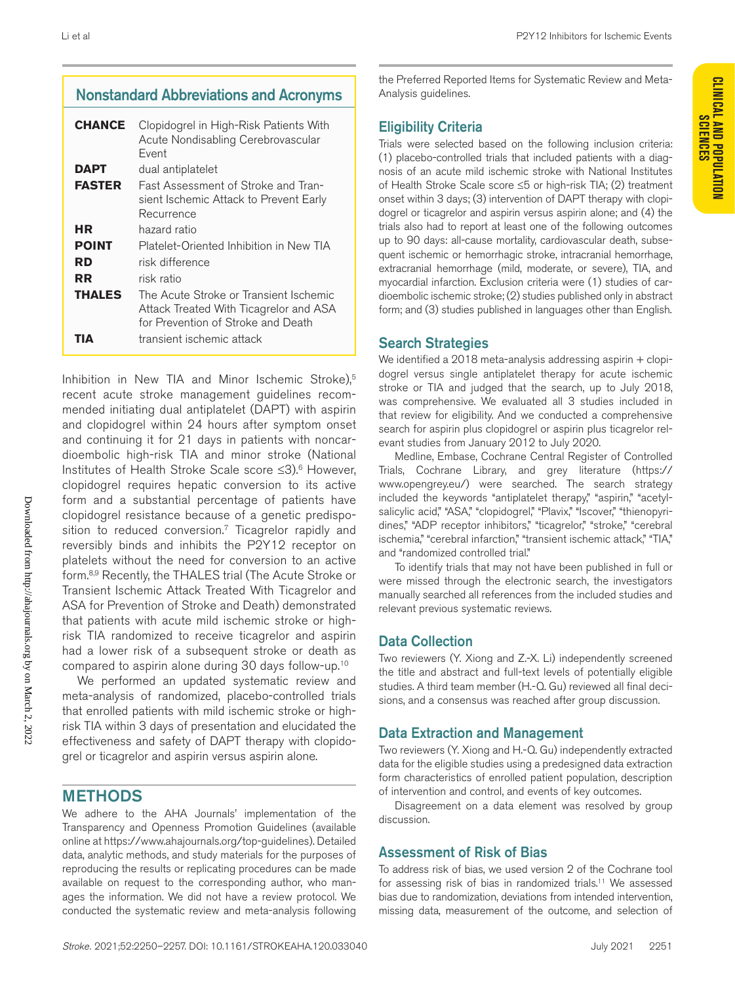### Nonstandard Abbreviations and Acronyms

| <b>CHANCE</b> | Clopidogrel in High-Risk Patients With<br>Acute Nondisabling Cerebrovascular<br>Fvent                                  |
|---------------|------------------------------------------------------------------------------------------------------------------------|
| DAPT          | dual antiplatelet                                                                                                      |
| <b>FASTER</b> | Fast Assessment of Stroke and Tran-<br>sient Ischemic Attack to Prevent Early<br>Recurrence                            |
| НR            | hazard ratio                                                                                                           |
| <b>POINT</b>  | Platelet-Oriented Inhibition in New TIA                                                                                |
| RD            | risk difference                                                                                                        |
| RR            | risk ratio                                                                                                             |
| THALES        | The Acute Stroke or Transient Ischemic<br>Attack Treated With Ticagrelor and ASA<br>for Prevention of Stroke and Death |
|               | transient ischemic attack                                                                                              |

Inhibition in New TIA and Minor Ischemic Stroke),<sup>5</sup> recent acute stroke management guidelines recommended initiating dual antiplatelet (DAPT) with aspirin and clopidogrel within 24 hours after symptom onset and continuing it for 21 days in patients with noncardioembolic high-risk TIA and minor stroke (National Institutes of Health Stroke Scale score ≤3).6 However, clopidogrel requires hepatic conversion to its active form and a substantial percentage of patients have clopidogrel resistance because of a genetic predisposition to reduced conversion.<sup>7</sup> Ticagrelor rapidly and reversibly binds and inhibits the P2Y12 receptor on platelets without the need for conversion to an active form.8,9 Recently, the THALES trial (The Acute Stroke or Transient Ischemic Attack Treated With Ticagrelor and ASA for Prevention of Stroke and Death) demonstrated that patients with acute mild ischemic stroke or highrisk TIA randomized to receive ticagrelor and aspirin had a lower risk of a subsequent stroke or death as compared to aspirin alone during 30 days follow-up.10

We performed an updated systematic review and meta-analysis of randomized, placebo-controlled trials that enrolled patients with mild ischemic stroke or highrisk TIA within 3 days of presentation and elucidated the effectiveness and safety of DAPT therapy with clopidogrel or ticagrelor and aspirin versus aspirin alone.

### METHODS

We adhere to the AHA Journals' implementation of the Transparency and Openness Promotion Guidelines (available online at<https://www.ahajournals.org/top-guidelines>). Detailed data, analytic methods, and study materials for the purposes of reproducing the results or replicating procedures can be made available on request to the corresponding author, who manages the information. We did not have a review protocol. We conducted the systematic review and meta-analysis following

the Preferred Reported Items for Systematic Review and Meta-Analysis guidelines.

### Eligibility Criteria

Trials were selected based on the following inclusion criteria: (1) placebo-controlled trials that included patients with a diagnosis of an acute mild ischemic stroke with National Institutes of Health Stroke Scale score ≤5 or high-risk TIA; (2) treatment onset within 3 days; (3) intervention of DAPT therapy with clopidogrel or ticagrelor and aspirin versus aspirin alone; and (4) the trials also had to report at least one of the following outcomes up to 90 days: all-cause mortality, cardiovascular death, subsequent ischemic or hemorrhagic stroke, intracranial hemorrhage, extracranial hemorrhage (mild, moderate, or severe), TIA, and myocardial infarction. Exclusion criteria were (1) studies of cardioembolic ischemic stroke; (2) studies published only in abstract form; and (3) studies published in languages other than English.

### Search Strategies

We identified a 2018 meta-analysis addressing aspirin + clopidogrel versus single antiplatelet therapy for acute ischemic stroke or TIA and judged that the search, up to July 2018, was comprehensive. We evaluated all 3 studies included in that review for eligibility. And we conducted a comprehensive search for aspirin plus clopidogrel or aspirin plus ticagrelor relevant studies from January 2012 to July 2020.

Medline, Embase, Cochrane Central Register of Controlled Trials, Cochrane Library, and grey literature [\(https://](https://www) [www.](https://www)[opengrey.eu/\)](opengrey.eu/) were searched. The search strategy included the keywords "antiplatelet therapy," "aspirin," "acetylsalicylic acid," "ASA," "clopidogrel," "Plavix," "Iscover," "thienopyridines," "ADP receptor inhibitors," "ticagrelor," "stroke," "cerebral ischemia," "cerebral infarction," "transient ischemic attack," "TIA," and "randomized controlled trial."

To identify trials that may not have been published in full or were missed through the electronic search, the investigators manually searched all references from the included studies and relevant previous systematic reviews.

### Data Collection

Two reviewers (Y. Xiong and Z.-X. Li) independently screened the title and abstract and full-text levels of potentially eligible studies. A third team member (H.-Q. Gu) reviewed all final decisions, and a consensus was reached after group discussion.

### Data Extraction and Management

Two reviewers (Y. Xiong and H.-Q. Gu) independently extracted data for the eligible studies using a predesigned data extraction form characteristics of enrolled patient population, description of intervention and control, and events of key outcomes.

Disagreement on a data element was resolved by group discussion.

### Assessment of Risk of Bias

To address risk of bias, we used version 2 of the Cochrane tool for assessing risk of bias in randomized trials.<sup>11</sup> We assessed bias due to randomization, deviations from intended intervention, missing data, measurement of the outcome, and selection of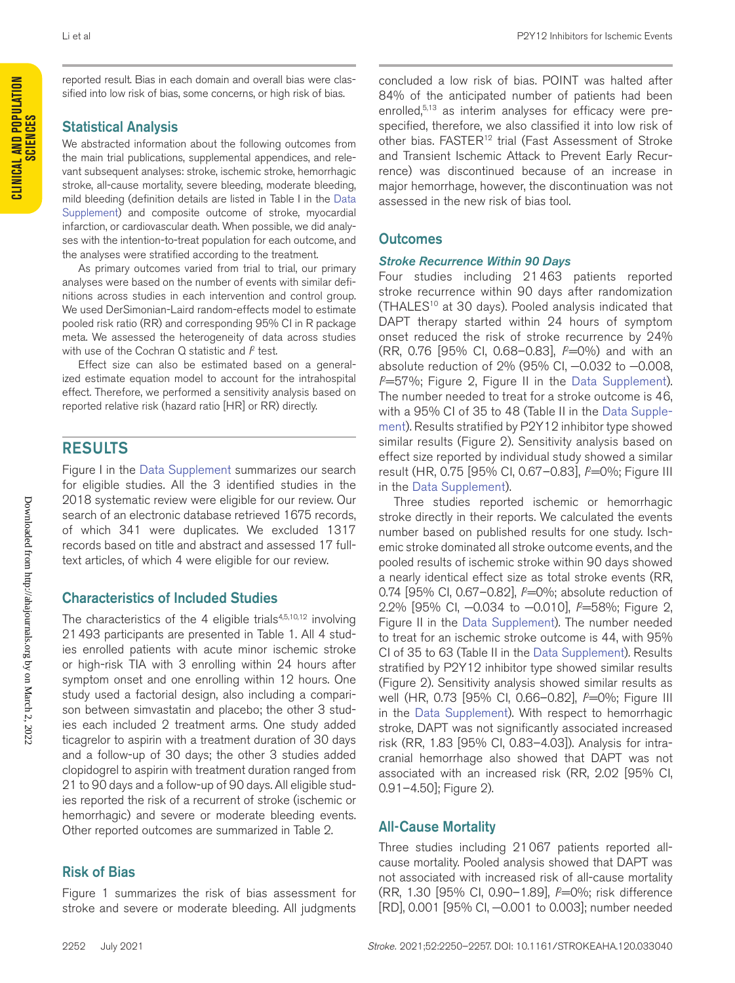reported result. Bias in each domain and overall bias were classified into low risk of bias, some concerns, or high risk of bias.

#### Statistical Analysis

We abstracted information about the following outcomes from the main trial publications, supplemental appendices, and relevant subsequent analyses: stroke, ischemic stroke, hemorrhagic stroke, all-cause mortality, severe bleeding, moderate bleeding, mild bleeding (definition details are listed in Table I in the [Data](https://www.ahajournals.org/doi/suppl/10.1161/STROKEAHA.120.033040)  [Supplement](https://www.ahajournals.org/doi/suppl/10.1161/STROKEAHA.120.033040)) and composite outcome of stroke, myocardial infarction, or cardiovascular death. When possible, we did analyses with the intention-to-treat population for each outcome, and the analyses were stratified according to the treatment.

As primary outcomes varied from trial to trial, our primary analyses were based on the number of events with similar definitions across studies in each intervention and control group. We used DerSimonian-Laird random-effects model to estimate pooled risk ratio (RR) and corresponding 95% CI in R package meta. We assessed the heterogeneity of data across studies with use of the Cochran Q statistic and P test.

Effect size can also be estimated based on a generalized estimate equation model to account for the intrahospital effect. Therefore, we performed a sensitivity analysis based on reported relative risk (hazard ratio [HR] or RR) directly.

### RESULTS

Figure I in the [Data Supplement](https://www.ahajournals.org/doi/suppl/10.1161/STROKEAHA.120.033040) summarizes our search for eligible studies. All the 3 identified studies in the 2018 systematic review were eligible for our review. Our search of an electronic database retrieved 1675 records, of which 341 were duplicates. We excluded 1317 records based on title and abstract and assessed 17 fulltext articles, of which 4 were eligible for our review.

#### Characteristics of Included Studies

The characteristics of the 4 eligible trials $4,5,10,12$  involving 21493 participants are presented in Table 1. All 4 studies enrolled patients with acute minor ischemic stroke or high-risk TIA with 3 enrolling within 24 hours after symptom onset and one enrolling within 12 hours. One study used a factorial design, also including a comparison between simvastatin and placebo; the other 3 studies each included 2 treatment arms. One study added ticagrelor to aspirin with a treatment duration of 30 days and a follow-up of 30 days; the other 3 studies added clopidogrel to aspirin with treatment duration ranged from 21 to 90 days and a follow-up of 90 days. All eligible studies reported the risk of a recurrent of stroke (ischemic or hemorrhagic) and severe or moderate bleeding events. Other reported outcomes are summarized in Table 2.

#### Risk of Bias

Figure 1 summarizes the risk of bias assessment for stroke and severe or moderate bleeding. All judgments

concluded a low risk of bias. POINT was halted after 84% of the anticipated number of patients had been enrolled,<sup>5,13</sup> as interim analyses for efficacy were prespecified, therefore, we also classified it into low risk of other bias. FASTER<sup>12</sup> trial (Fast Assessment of Stroke and Transient Ischemic Attack to Prevent Early Recurrence) was discontinued because of an increase in major hemorrhage, however, the discontinuation was not assessed in the new risk of bias tool.

#### **Outcomes**

#### *Stroke Recurrence Within 90 Days*

Four studies including 21463 patients reported stroke recurrence within 90 days after randomization (THALES<sup>10</sup> at 30 days). Pooled analysis indicated that DAPT therapy started within 24 hours of symptom onset reduced the risk of stroke recurrence by 24% (RR, 0.76 [95% CI, 0.68–0.83], *I* 2=0%) and with an absolute reduction of 2% (95% CI, −0.032 to −0.008, *I* 2=57%; Figure 2, Figure II in the [Data Supplement\)](https://www.ahajournals.org/doi/suppl/10.1161/STROKEAHA.120.033040). The number needed to treat for a stroke outcome is 46, with a 95% CI of 35 to 48 (Table II in the [Data Supple](https://www.ahajournals.org/doi/suppl/10.1161/STROKEAHA.120.033040)[ment\)](https://www.ahajournals.org/doi/suppl/10.1161/STROKEAHA.120.033040). Results stratified by P2Y12 inhibitor type showed similar results (Figure 2). Sensitivity analysis based on effect size reported by individual study showed a similar result (HR, 0.75 [95% CI, 0.67–0.83], *I* 2=0%; Figure III in the [Data Supplement](https://www.ahajournals.org/doi/suppl/10.1161/STROKEAHA.120.033040)).

Three studies reported ischemic or hemorrhagic stroke directly in their reports. We calculated the events number based on published results for one study. Ischemic stroke dominated all stroke outcome events, and the pooled results of ischemic stroke within 90 days showed a nearly identical effect size as total stroke events (RR, 0.74 [95% CI, 0.67-0.82],  $\ell$ =0%; absolute reduction of 2.2% [95% CI, -0.034 to -0.010], *P*=58%; Figure 2, Figure II in the [Data Supplement](https://www.ahajournals.org/doi/suppl/10.1161/STROKEAHA.120.033040)). The number needed to treat for an ischemic stroke outcome is 44, with 95% CI of 35 to 63 (Table II in the [Data Supplement](https://www.ahajournals.org/doi/suppl/10.1161/STROKEAHA.120.033040)). Results stratified by P2Y12 inhibitor type showed similar results (Figure 2). Sensitivity analysis showed similar results as well (HR, 0.73 [95% CI, 0.66-0.82], P=0%; Figure III in the [Data Supplement](https://www.ahajournals.org/doi/suppl/10.1161/STROKEAHA.120.033040)). With respect to hemorrhagic stroke, DAPT was not significantly associated increased risk (RR, 1.83 [95% CI, 0.83–4.03]). Analysis for intracranial hemorrhage also showed that DAPT was not associated with an increased risk (RR, 2.02 [95% CI, 0.91–4.50]; Figure 2).

#### All-Cause Mortality

Three studies including 21067 patients reported allcause mortality. Pooled analysis showed that DAPT was not associated with increased risk of all-cause mortality (RR, 1.30 [95% CI, 0.90–1.89], *I* 2=0%; risk difference [RD], 0.001 [95% CI, −0.001 to 0.003]; number needed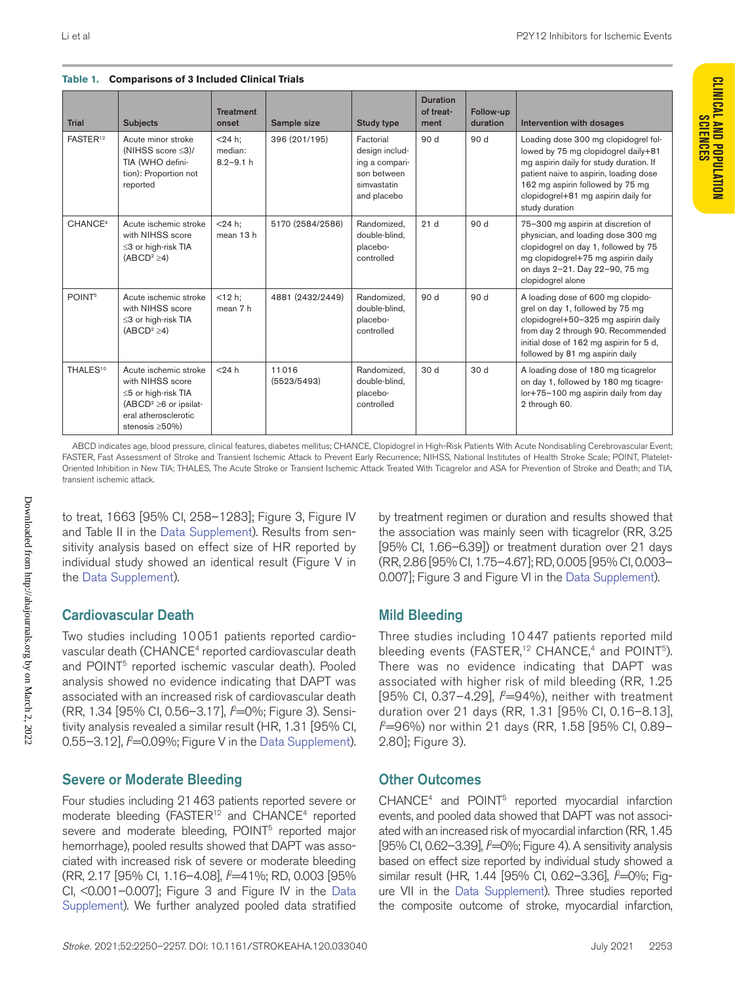**Table 1. Comparisons of 3 Included Clinical Trials**

| <b>Trial</b>         | <b>Subjects</b>                                                                                                                                | <b>Treatment</b><br>onset             | Sample size          | <b>Study type</b>                                                                          | <b>Duration</b><br>of treat-<br>ment | Follow-up<br>duration | Intervention with dosages                                                                                                                                                                                                                                     |
|----------------------|------------------------------------------------------------------------------------------------------------------------------------------------|---------------------------------------|----------------------|--------------------------------------------------------------------------------------------|--------------------------------------|-----------------------|---------------------------------------------------------------------------------------------------------------------------------------------------------------------------------------------------------------------------------------------------------------|
| FASTER <sup>12</sup> | Acute minor stroke<br>(NIHSS score $\leq$ 3)/<br>TIA (WHO defini-<br>tion): Proportion not<br>reported                                         | $<$ 24 h;<br>median:<br>$8.2 - 9.1 h$ | 396 (201/195)        | Factorial<br>design includ-<br>ing a compari-<br>son between<br>simvastatin<br>and placebo | 90 d                                 | 90 d                  | Loading dose 300 mg clopidogrel fol-<br>lowed by 75 mg clopidogrel daily+81<br>mg aspirin daily for study duration. If<br>patient naive to aspirin, loading dose<br>162 mg aspirin followed by 75 mg<br>clopidogrel+81 mg aspirin daily for<br>study duration |
| CHANCE <sup>4</sup>  | Acute ischemic stroke<br>with NIHSS score<br>≤3 or high-risk TIA<br>$(ABCD2 \ge 4)$                                                            | $<$ 24 h:<br>mean 13 h                | 5170 (2584/2586)     | Randomized,<br>double-blind,<br>placebo-<br>controlled                                     | 21d                                  | 90 d                  | 75-300 mg aspirin at discretion of<br>physician, and loading dose 300 mg<br>clopidogrel on day 1, followed by 75<br>mg clopidogrel+75 mg aspirin daily<br>on days 2-21. Day 22-90, 75 mg<br>clopidogrel alone                                                 |
| POINT <sup>5</sup>   | Acute ischemic stroke<br>with NIHSS score<br>≤3 or high-risk TIA<br>$(ABCD2 \ge 4)$                                                            | $< 12 h$ :<br>mean 7 h                | 4881 (2432/2449)     | Randomized.<br>double-blind.<br>placebo-<br>controlled                                     | 90 d                                 | 90 d                  | A loading dose of 600 mg clopido-<br>grel on day 1, followed by 75 mg<br>clopidogrel+50-325 mg aspirin daily<br>from day 2 through 90. Recommended<br>initial dose of 162 mg aspirin for 5 d,<br>followed by 81 mg aspirin daily                              |
| THALES <sup>10</sup> | Acute ischemic stroke<br>with NIHSS score<br>≤5 or high-risk TIA<br>$(ABCD2 \ge 6$ or ipsilat-<br>eral atherosclerotic<br>stenosis $\geq$ 50%) | $<$ 24 $h$                            | 11016<br>(5523/5493) | Randomized,<br>double-blind,<br>placebo-<br>controlled                                     | 30 d                                 | 30 d                  | A loading dose of 180 mg ticagrelor<br>on day 1, followed by 180 mg ticagre-<br>lor+75-100 mg aspirin daily from day<br>2 through 60.                                                                                                                         |

ABCD indicates age, blood pressure, clinical features, diabetes mellitus; CHANCE, Clopidogrel in High-Risk Patients With Acute Nondisabling Cerebrovascular Event; FASTER, Fast Assessment of Stroke and Transient Ischemic Attack to Prevent Early Recurrence; NIHSS, National Institutes of Health Stroke Scale; POINT, Platelet-Oriented Inhibition in New TIA; THALES, The Acute Stroke or Transient Ischemic Attack Treated With Ticagrelor and ASA for Prevention of Stroke and Death; and TIA, transient ischemic attack.

to treat, 1663 [95% CI, 258–1283]; Figure 3, Figure IV and Table II in the [Data Supplement\)](https://www.ahajournals.org/doi/suppl/10.1161/STROKEAHA.120.033040). Results from sensitivity analysis based on effect size of HR reported by individual study showed an identical result (Figure V in the [Data Supplement](https://www.ahajournals.org/doi/suppl/10.1161/STROKEAHA.120.033040)).

### Cardiovascular Death

Two studies including 10051 patients reported cardiovascular death (CHANCE<sup>4</sup> reported cardiovascular death and POINT<sup>5</sup> reported ischemic vascular death). Pooled analysis showed no evidence indicating that DAPT was associated with an increased risk of cardiovascular death (RR, 1.34 [95% CI, 0.56–3.17], *I* 2=0%; Figure 3). Sensitivity analysis revealed a similar result (HR, 1.31 [95% CI, 0.55–3.12], *f*=0.09%; Figure V in the [Data Supplement\)](https://www.ahajournals.org/doi/suppl/10.1161/STROKEAHA.120.033040).

### Severe or Moderate Bleeding

Four studies including 21463 patients reported severe or moderate bleeding (FASTER<sup>12</sup> and CHANCE<sup>4</sup> reported severe and moderate bleeding, POINT<sup>5</sup> reported major hemorrhage), pooled results showed that DAPT was associated with increased risk of severe or moderate bleeding (RR, 2.17 [95% CI, 1.16–4.08], *I* 2 =41%; RD, 0.003 [95% CI, <0.001–0.007]; Figure 3 and Figure IV in the [Data](https://www.ahajournals.org/doi/suppl/10.1161/STROKEAHA.120.033040)  [Supplement](https://www.ahajournals.org/doi/suppl/10.1161/STROKEAHA.120.033040)). We further analyzed pooled data stratified

by treatment regimen or duration and results showed that the association was mainly seen with ticagrelor (RR, 3.25 [95% CI, 1.66–6.39]) or treatment duration over 21 days (RR, 2.86 [95% CI, 1.75–4.67]; RD, 0.005 [95% CI, 0.003– 0.007]; Figure 3 and Figure VI in the [Data Supplement\)](https://www.ahajournals.org/doi/suppl/10.1161/STROKEAHA.120.033040).

### Mild Bleeding

Three studies including 10 447 patients reported mild bleeding events (FASTER,<sup>12</sup> CHANCE,<sup>4</sup> and POINT<sup>5</sup>). There was no evidence indicating that DAPT was associated with higher risk of mild bleeding (RR, 1.25 [95% CI, 0.37–4.29], *I* 2=94%), neither with treatment duration over 21 days (RR, 1.31 [95% CI, 0.16–8.13], *I* 2=96%) nor within 21 days (RR, 1.58 [95% CI, 0.89– 2.80]; Figure 3).

### Other Outcomes

CHANCE<sup>4</sup> and POINT<sup>5</sup> reported myocardial infarction events, and pooled data showed that DAPT was not associated with an increased risk of myocardial infarction (RR, 1.45 [95% CI, 0.62–3.39], *I* 2 =0%; Figure 4). A sensitivity analysis based on effect size reported by individual study showed a similar result (HR, 1.44 [95% CI, 0.62–3.36], P=0%; Figure VII in the [Data Supplement](https://www.ahajournals.org/doi/suppl/10.1161/STROKEAHA.120.033040)). Three studies reported the composite outcome of stroke, myocardial infarction,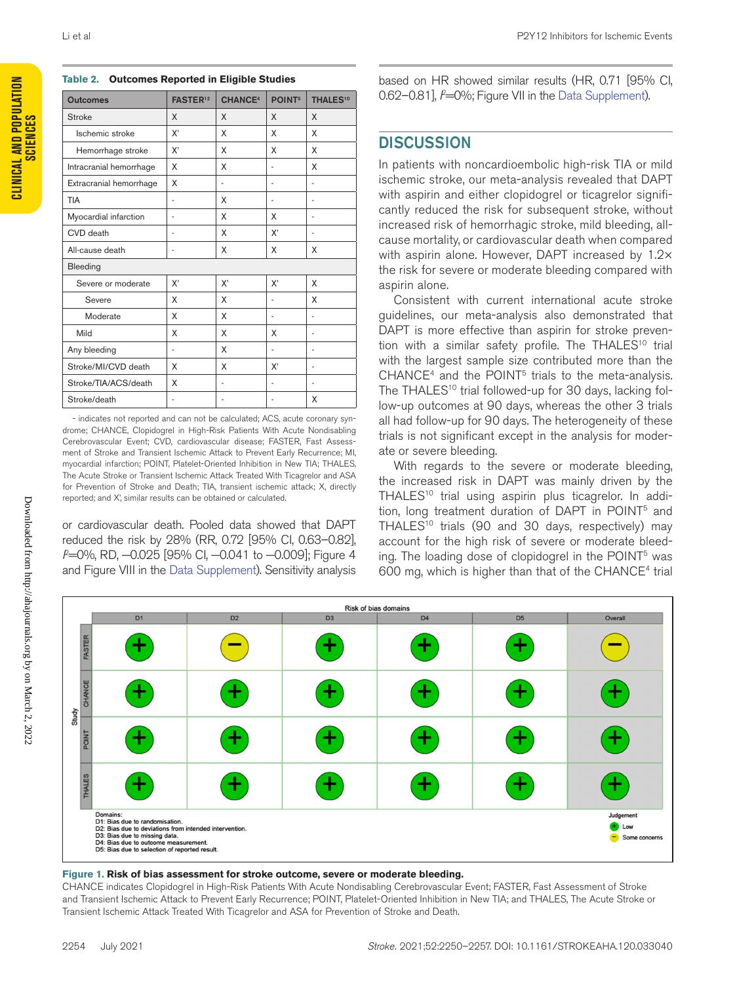| <b>Outcomes</b>         | <b>FASTER12</b> | <b>CHANCE<sup>4</sup></b> | POINT <sup>5</sup>       | <b>THALES<sup>10</sup></b> |  |  |
|-------------------------|-----------------|---------------------------|--------------------------|----------------------------|--|--|
| <b>Stroke</b>           | X               | X                         | X                        | X                          |  |  |
| Ischemic stroke         | X'              | X                         | X                        | X                          |  |  |
| Hemorrhage stroke       | X'              | X                         | X                        | X                          |  |  |
| Intracranial hemorrhage | X               | X                         |                          | X                          |  |  |
| Extracranial hemorrhage | X               | ٠<br>٠                    |                          |                            |  |  |
| <b>TIA</b>              | $\overline{a}$  | X                         | $\overline{a}$           | $\overline{a}$             |  |  |
| Myocardial infarction   | ٠               | X                         | X                        | $\overline{a}$             |  |  |
| CVD death               | $\overline{a}$  | X                         | X'                       |                            |  |  |
| All-cause death         |                 | X<br>X                    |                          | X                          |  |  |
| Bleeding                |                 |                           |                          |                            |  |  |
| Severe or moderate      | χ,              | χ,                        | χ,                       | X                          |  |  |
| Severe                  | X               | X                         | $\overline{a}$           | X                          |  |  |
| Moderate                | X               | X                         | $\overline{\phantom{a}}$ | $\overline{a}$             |  |  |
| Mild                    | X               | X                         | X                        | ٠                          |  |  |
| Any bleeding            | ٠               | X                         | $\overline{\phantom{a}}$ | ٠                          |  |  |
| Stroke/MI/CVD death     | X               | X                         | X'                       | ٠                          |  |  |
| Stroke/TIA/ACS/death    | X               | ٠                         | $\overline{a}$           | ٠                          |  |  |
| Stroke/death            |                 | -                         |                          | X                          |  |  |

**Table 2. Outcomes Reported in Eligible Studies**

- indicates not reported and can not be calculated; ACS, acute coronary syndrome; CHANCE, Clopidogrel in High-Risk Patients With Acute Nondisabling Cerebrovascular Event; CVD, cardiovascular disease; FASTER, Fast Assessment of Stroke and Transient Ischemic Attack to Prevent Early Recurrence; MI, myocardial infarction; POINT, Platelet-Oriented Inhibition in New TIA; THALES, The Acute Stroke or Transient Ischemic Attack Treated With Ticagrelor and ASA for Prevention of Stroke and Death; TIA, transient ischemic attack; X, directly reported; and X', similar results can be obtained or calculated.

or cardiovascular death. Pooled data showed that DAPT reduced the risk by 28% (RR, 0.72 [95% CI, 0.63–0.82], *f=*0%, RD, −0.025 [95% CI, −0.041 to −0.009]; Figure 4 and Figure VIII in the [Data Supplement\)](https://www.ahajournals.org/doi/suppl/10.1161/STROKEAHA.120.033040). Sensitivity analysis

based on HR showed similar results (HR, 0.71 [95% CI, 0.62–0.81], P=0%; Figure VII in the [Data Supplement](https://www.ahajournals.org/doi/suppl/10.1161/STROKEAHA.120.033040)).

### **DISCUSSION**

In patients with noncardioembolic high-risk TIA or mild ischemic stroke, our meta-analysis revealed that DAPT with aspirin and either clopidogrel or ticagrelor significantly reduced the risk for subsequent stroke, without increased risk of hemorrhagic stroke, mild bleeding, allcause mortality, or cardiovascular death when compared with aspirin alone. However, DAPT increased by 1.2x the risk for severe or moderate bleeding compared with aspirin alone.

Consistent with current international acute stroke guidelines, our meta-analysis also demonstrated that DAPT is more effective than aspirin for stroke prevention with a similar safety profile. The THALES<sup>10</sup> trial with the largest sample size contributed more than the  $CHANCE<sup>4</sup>$  and the POINT<sup>5</sup> trials to the meta-analysis. The THALES<sup>10</sup> trial followed-up for 30 days, lacking follow-up outcomes at 90 days, whereas the other 3 trials all had follow-up for 90 days. The heterogeneity of these trials is not significant except in the analysis for moderate or severe bleeding.

With regards to the severe or moderate bleeding, the increased risk in DAPT was mainly driven by the THALES<sup>10</sup> trial using aspirin plus ticagrelor. In addition, long treatment duration of DAPT in POINT<sup>5</sup> and THALES<sup>10</sup> trials (90 and 30 days, respectively) may account for the high risk of severe or moderate bleeding. The loading dose of clopidogrel in the POINT5 was 600 mg, which is higher than that of the CHANCE $4$  trial



#### **Figure 1. Risk of bias assessment for stroke outcome, severe or moderate bleeding.**

CHANCE indicates Clopidogrel in High-Risk Patients With Acute Nondisabling Cerebrovascular Event; FASTER, Fast Assessment of Stroke and Transient Ischemic Attack to Prevent Early Recurrence; POINT, Platelet-Oriented Inhibition in New TIA; and THALES, The Acute Stroke or Transient Ischemic Attack Treated With Ticagrelor and ASA for Prevention of Stroke and Death.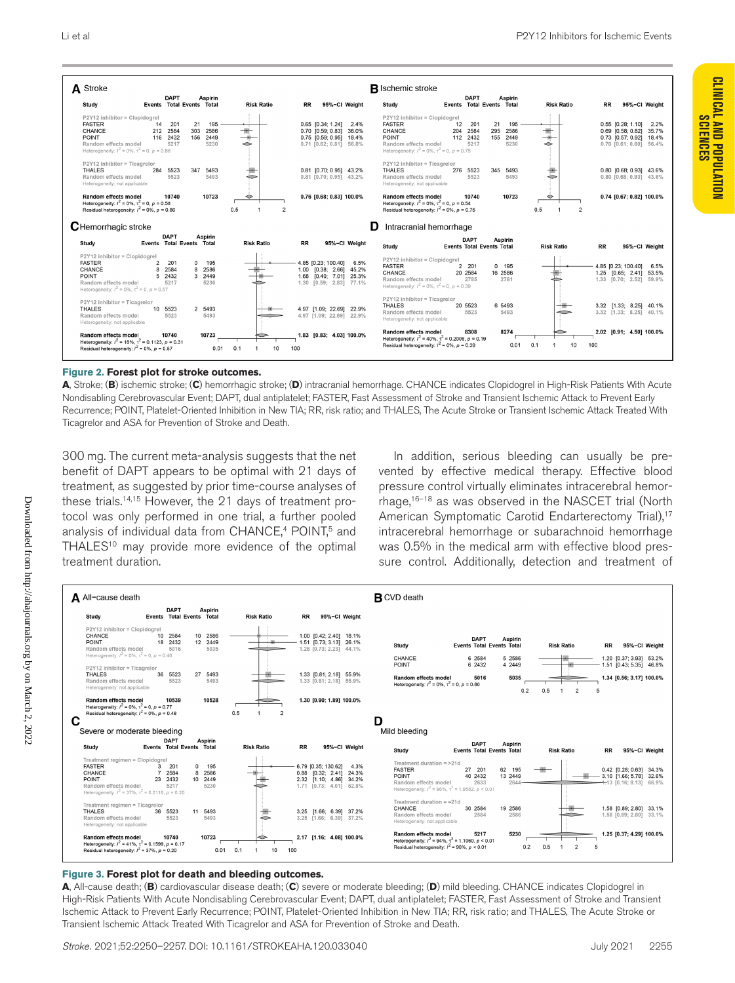

#### **Figure 2. Forest plot for stroke outcomes.**

**A**, Stroke; (**B**) ischemic stroke; (**C**) hemorrhagic stroke; (**D**) intracranial hemorrhage. CHANCE indicates Clopidogrel in High-Risk Patients With Acute Nondisabling Cerebrovascular Event; DAPT, dual antiplatelet; FASTER, Fast Assessment of Stroke and Transient Ischemic Attack to Prevent Early Recurrence; POINT, Platelet-Oriented Inhibition in New TIA; RR, risk ratio; and THALES, The Acute Stroke or Transient Ischemic Attack Treated With Ticagrelor and ASA for Prevention of Stroke and Death.

300 mg. The current meta-analysis suggests that the net benefit of DAPT appears to be optimal with 21 days of treatment, as suggested by prior time-course analyses of these trials.14,15 However, the 21 days of treatment protocol was only performed in one trial, a further pooled analysis of individual data from CHANCE,<sup>4</sup> POINT,<sup>5</sup> and THALES<sup>10</sup> may provide more evidence of the optimal treatment duration.

In addition, serious bleeding can usually be prevented by effective medical therapy. Effective blood pressure control virtually eliminates intracerebral hemorrhage,16–18 as was observed in the NASCET trial (North American Symptomatic Carotid Endarterectomy Trial),<sup>17</sup> intracerebral hemorrhage or subarachnoid hemorrhage was 0.5% in the medical arm with effective blood pressure control. Additionally, detection and treatment of



#### **Figure 3. Forest plot for death and bleeding outcomes.**

**A**, All-cause death; (**B**) cardiovascular disease death; (**C**) severe or moderate bleeding; (**D**) mild bleeding. CHANCE indicates Clopidogrel in High-Risk Patients With Acute Nondisabling Cerebrovascular Event; DAPT, dual antiplatelet; FASTER, Fast Assessment of Stroke and Transient Ischemic Attack to Prevent Early Recurrence; POINT, Platelet-Oriented Inhibition in New TIA; RR, risk ratio; and THALES, The Acute Stroke or Transient Ischemic Attack Treated With Ticagrelor and ASA for Prevention of Stroke and Death.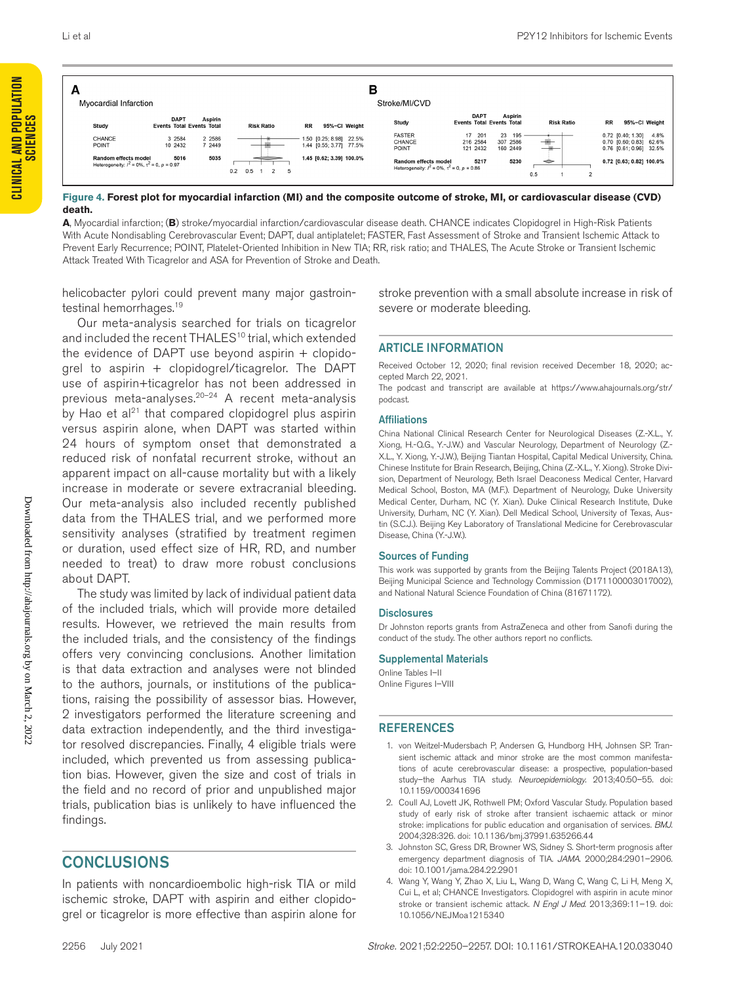**CLINICAL AND POPULATION SCIENCES**

**CLINICAL AND POPULATION** 

| A<br>Myocardial Infarction                                                            | в<br>Stroke/MI/CVD                              |                     |                                             |                                                    |                                                                                       |                                |                                             |                      |                                                                                 |
|---------------------------------------------------------------------------------------|-------------------------------------------------|---------------------|---------------------------------------------|----------------------------------------------------|---------------------------------------------------------------------------------------|--------------------------------|---------------------------------------------|----------------------|---------------------------------------------------------------------------------|
| Study                                                                                 | <b>DAPT</b><br><b>Events Total Events Total</b> | <b>Aspirin</b>      | <b>Risk Ratio</b>                           | <b>RR</b><br>95%-CI Weight                         | Study                                                                                 | <b>DAPT</b>                    | Aspirin<br><b>Events Total Events Total</b> | <b>Risk Ratio</b>    | <b>RR</b><br>95%-CI Weight                                                      |
| CHANCE<br><b>POINT</b>                                                                | 3 2584<br>10 2432                               | 2 2 5 8 6<br>7 2449 |                                             | 1.50 [0.25; 8.98] 22.5%<br>1.44 [0.55; 3.77] 77.5% | <b>FASTER</b><br>CHANCE<br>POINT                                                      | 17 201<br>216 2584<br>121 2432 | 23 195<br>307 2586<br>160 2449              |                      | 0.72 [0.40; 1.30]<br>4.8%<br>0.70 [0.60; 0.83] 62.6%<br>0.76 [0.61; 0.96] 32.5% |
| <b>Random effects model</b><br>Heterogeneity: $l^2 = 0\%$ , $\tau^2 = 0$ , $p = 0.97$ | 5016                                            | 5035                | $0.5 \quad 1$<br>0.2<br>$\overline{2}$<br>5 | 1.45 [0.62; 3.39] 100.0%                           | <b>Random effects model</b><br>Heterogeneity: $l^2 = 0\%$ , $\tau^2 = 0$ , $p = 0.86$ | 5217                           | 5230                                        | $\Rightarrow$<br>0.5 | 0.72 [0.63; 0.82] 100.0%<br>$\overline{2}$                                      |

#### **Figure 4. Forest plot for myocardial infarction (MI) and the composite outcome of stroke, MI, or cardiovascular disease (CVD) death.**

**A**, Myocardial infarction; (**B**) stroke/myocardial infarction/cardiovascular disease death. CHANCE indicates Clopidogrel in High-Risk Patients With Acute Nondisabling Cerebrovascular Event; DAPT, dual antiplatelet; FASTER, Fast Assessment of Stroke and Transient Ischemic Attack to Prevent Early Recurrence; POINT, Platelet-Oriented Inhibition in New TIA; RR, risk ratio; and THALES, The Acute Stroke or Transient Ischemic Attack Treated With Ticagrelor and ASA for Prevention of Stroke and Death.

helicobacter pylori could prevent many major gastrointestinal hemorrhages.<sup>19</sup>

Our meta-analysis searched for trials on ticagrelor and included the recent THALES<sup>10</sup> trial, which extended the evidence of DAPT use beyond aspirin  $+$  clopidogrel to aspirin + clopidogrel/ticagrelor. The DAPT use of aspirin+ticagrelor has not been addressed in previous meta-analyses.20–24 A recent meta-analysis by Hao et al<sup>21</sup> that compared clopidogrel plus aspirin versus aspirin alone, when DAPT was started within 24 hours of symptom onset that demonstrated a reduced risk of nonfatal recurrent stroke, without an apparent impact on all-cause mortality but with a likely increase in moderate or severe extracranial bleeding. Our meta-analysis also included recently published data from the THALES trial, and we performed more sensitivity analyses (stratified by treatment regimen or duration, used effect size of HR, RD, and number needed to treat) to draw more robust conclusions about DAPT.

The study was limited by lack of individual patient data of the included trials, which will provide more detailed results. However, we retrieved the main results from the included trials, and the consistency of the findings offers very convincing conclusions. Another limitation is that data extraction and analyses were not blinded to the authors, journals, or institutions of the publications, raising the possibility of assessor bias. However, 2 investigators performed the literature screening and data extraction independently, and the third investigator resolved discrepancies. Finally, 4 eligible trials were included, which prevented us from assessing publication bias. However, given the size and cost of trials in the field and no record of prior and unpublished major trials, publication bias is unlikely to have influenced the findings.

### CONCLUSIONS

In patients with noncardioembolic high-risk TIA or mild ischemic stroke, DAPT with aspirin and either clopidogrel or ticagrelor is more effective than aspirin alone for stroke prevention with a small absolute increase in risk of severe or moderate bleeding.

#### ARTICLE INFORMATION

Received October 12, 2020; final revision received December 18, 2020; accepted March 22, 2021.

The podcast and transcript are available at [https://www.ahajournals.org/str/](https://www.ahajournals.org/str/podcast) [podcast.](https://www.ahajournals.org/str/podcast)

#### **Affiliations**

China National Clinical Research Center for Neurological Diseases (Z.-X.L., Y. Xiong, H.-Q.G., Y.-J.W.) and Vascular Neurology, Department of Neurology (Z.- X.L., Y. Xiong, Y.-J.W.), Beijing Tiantan Hospital, Capital Medical University, China. Chinese Institute for Brain Research, Beijing, China (Z.-X.L., Y. Xiong). Stroke Division, Department of Neurology, Beth Israel Deaconess Medical Center, Harvard Medical School, Boston, MA (M.F.). Department of Neurology, Duke University Medical Center, Durham, NC (Y. Xian). Duke Clinical Research Institute, Duke University, Durham, NC (Y. Xian). Dell Medical School, University of Texas, Austin (S.C.J.). Beijing Key Laboratory of Translational Medicine for Cerebrovascular Disease, China (Y.-J.W.).

#### Sources of Funding

This work was supported by grants from the Beijing Talents Project (2018A13), Beijing Municipal Science and Technology Commission (D171100003017002), and National Natural Science Foundation of China (81671172).

#### **Disclosures**

Dr Johnston reports grants from AstraZeneca and other from Sanofi during the conduct of the study. The other authors report no conflicts.

#### Supplemental Materials

Online Tables I–II Online Figures I–VIII

#### REFERENCES

- 1. von Weitzel-Mudersbach P, Andersen G, Hundborg HH, Johnsen SP. Transient ischemic attack and minor stroke are the most common manifestations of acute cerebrovascular disease: a prospective, population-based study–the Aarhus TIA study. *Neuroepidemiology*. 2013;40:50–55. doi: 10.1159/000341696
- 2. Coull AJ, Lovett JK, Rothwell PM; Oxford Vascular Study. Population based study of early risk of stroke after transient ischaemic attack or minor stroke: implications for public education and organisation of services. *BMJ*. 2004;328:326. doi: 10.1136/bmj.37991.635266.44
- 3. Johnston SC, Gress DR, Browner WS, Sidney S. Short-term prognosis after emergency department diagnosis of TIA. *JAMA*. 2000;284:2901–2906. doi: 10.1001/jama.284.22.2901
- 4. Wang Y, Wang Y, Zhao X, Liu L, Wang D, Wang C, Wang C, Li H, Meng X, Cui L, et al; CHANCE Investigators. Clopidogrel with aspirin in acute minor stroke or transient ischemic attack. *N Engl J Med*. 2013;369:11–19. doi: 10.1056/NEJMoa1215340